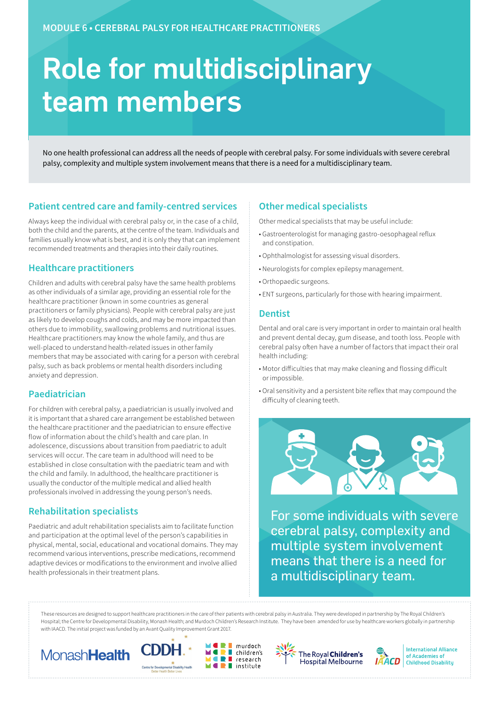# Role for multidisciplinary team members

No one health professional can address all the needs of people with cerebral palsy. For some individuals with severe cerebral palsy, complexity and multiple system involvement means that there is a need for a multidisciplinary team.

# **Patient centred care and family-centred services**

Always keep the individual with cerebral palsy or, in the case of a child, both the child and the parents, at the centre of the team. Individuals and families usually know what is best, and it is only they that can implement recommended treatments and therapies into their daily routines.

## **Healthcare practitioners**

Children and adults with cerebral palsy have the same health problems as other individuals of a similar age, providing an essential role for the healthcare practitioner (known in some countries as general practitioners or family physicians). People with cerebral palsy are just as likely to develop coughs and colds, and may be more impacted than others due to immobility, swallowing problems and nutritional issues. Healthcare practitioners may know the whole family, and thus are well-placed to understand health-related issues in other family members that may be associated with caring for a person with cerebral palsy, such as back problems or mental health disorders including anxiety and depression.

## **Paediatrician**

For children with cerebral palsy, a paediatrician is usually involved and it is important that a shared care arrangement be established between the healthcare practitioner and the paediatrician to ensure effective flow of information about the child's health and care plan. In adolescence, discussions about transition from paediatric to adult services will occur. The care team in adulthood will need to be established in close consultation with the paediatric team and with the child and family. In adulthood, the healthcare practitioner is usually the conductor of the multiple medical and allied health professionals involved in addressing the young person's needs.

# **Rehabilitation specialists**

Paediatric and adult rehabilitation specialists aim to facilitate function and participation at the optimal level of the person's capabilities in physical, mental, social, educational and vocational domains. They may recommend various interventions, prescribe medications, recommend adaptive devices or modifications to the environment and involve allied health professionals in their treatment plans.

# **Other medical specialists**

Other medical specialists that may be useful include:

- Gastroenterologist for managing gastro-oesophageal reflux and constipation.
- Ophthalmologist for assessing visual disorders.
- Neurologists for complex epilepsy management.
- Orthopaedic surgeons.
- ENT surgeons, particularly for those with hearing impairment.

#### **Dentist**

Dental and oral care is very important in order to maintain oral health and prevent dental decay, gum disease, and tooth loss. People with cerebral palsy often have a number of factors that impact their oral health including:

- Motor difficulties that may make cleaning and flossing difficult or impossible.
- Oral sensitivity and a persistent bite reflex that may compound the difficulty of cleaning teeth.



For some individuals with severe cerebral palsy, complexity and multiple system involvement means that there is a need for a multidisciplinary team.

These resources are designed to support healthcare practitioners in the care of their patients with cerebral palsy in Australia. They were developed in partnership by The Royal Children's Hospital; the Centre for Developmental Disability, Monash Health; and Murdoch Children's Research Institute. They have been amended for use by healthcare workers globally in partnership with IAACD. The initial project was funded by an Avant Quality Improvement Grant 2017.











**International Alliance** of Academies of **Childhood Disability**